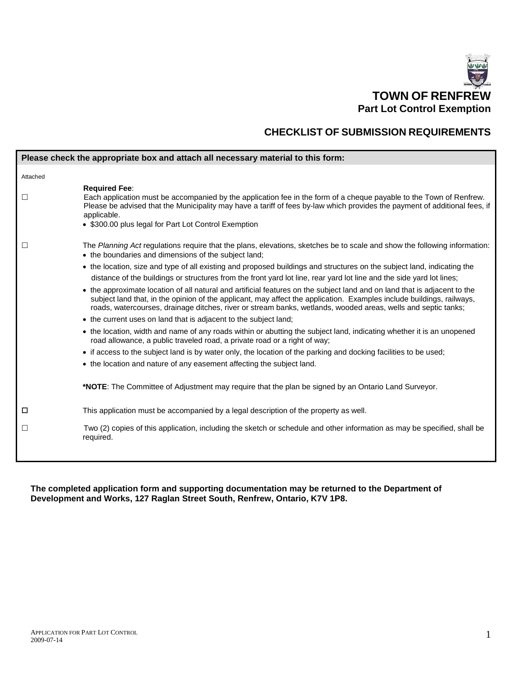

ŧ

# **CHECKLIST OF SUBMISSION REQUIREMENTS**

|          | Please check the appropriate box and attach all necessary material to this form:                                                                                                                                                                                                                                                                                    |
|----------|---------------------------------------------------------------------------------------------------------------------------------------------------------------------------------------------------------------------------------------------------------------------------------------------------------------------------------------------------------------------|
| Attached |                                                                                                                                                                                                                                                                                                                                                                     |
| $\Box$   | <b>Required Fee:</b><br>Each application must be accompanied by the application fee in the form of a cheque payable to the Town of Renfrew.<br>Please be advised that the Municipality may have a tariff of fees by-law which provides the payment of additional fees, if<br>applicable.<br>• \$300.00 plus legal for Part Lot Control Exemption                    |
| $\Box$   | The Planning Act regulations require that the plans, elevations, sketches be to scale and show the following information:<br>• the boundaries and dimensions of the subject land;                                                                                                                                                                                   |
|          | • the location, size and type of all existing and proposed buildings and structures on the subject land, indicating the                                                                                                                                                                                                                                             |
|          | distance of the buildings or structures from the front yard lot line, rear yard lot line and the side yard lot lines;                                                                                                                                                                                                                                               |
|          | • the approximate location of all natural and artificial features on the subject land and on land that is adjacent to the<br>subject land that, in the opinion of the applicant, may affect the application. Examples include buildings, railways,<br>roads, watercourses, drainage ditches, river or stream banks, wetlands, wooded areas, wells and septic tanks; |
|          | • the current uses on land that is adjacent to the subject land;                                                                                                                                                                                                                                                                                                    |
|          | • the location, width and name of any roads within or abutting the subject land, indicating whether it is an unopened<br>road allowance, a public traveled road, a private road or a right of way;                                                                                                                                                                  |
|          | • if access to the subject land is by water only, the location of the parking and docking facilities to be used;                                                                                                                                                                                                                                                    |
|          | • the location and nature of any easement affecting the subject land.                                                                                                                                                                                                                                                                                               |
|          | * <b>NOTE:</b> The Committee of Adjustment may require that the plan be signed by an Ontario Land Surveyor.                                                                                                                                                                                                                                                         |
| □        | This application must be accompanied by a legal description of the property as well.                                                                                                                                                                                                                                                                                |
| $\Box$   | Two (2) copies of this application, including the sketch or schedule and other information as may be specified, shall be<br>required.                                                                                                                                                                                                                               |
|          |                                                                                                                                                                                                                                                                                                                                                                     |

**The completed application form and supporting documentation may be returned to the Department of Development and Works, 127 Raglan Street South, Renfrew, Ontario, K7V 1P8.**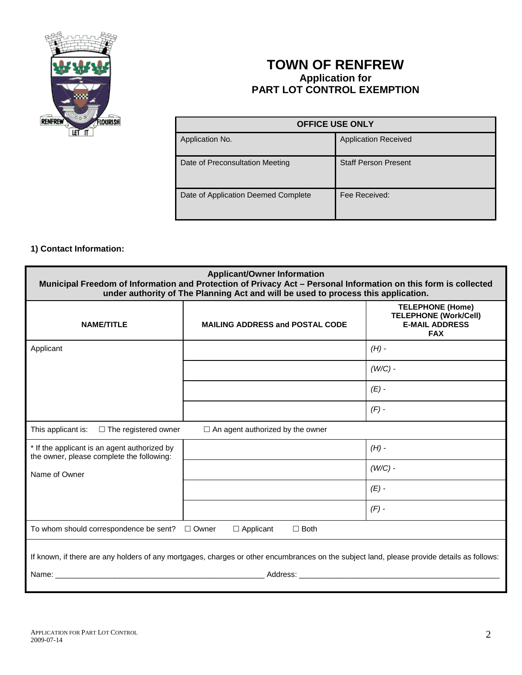

# **TOWN OF RENFREW Application for PART LOT CONTROL EXEMPTION**

| <b>OFFICE USE ONLY</b>              |                             |  |
|-------------------------------------|-----------------------------|--|
| Application No.                     | <b>Application Received</b> |  |
| Date of Preconsultation Meeting     | <b>Staff Person Present</b> |  |
| Date of Application Deemed Complete | Fee Received:               |  |

#### **1) Contact Information:**

| <b>Applicant/Owner Information</b><br>Municipal Freedom of Information and Protection of Privacy Act - Personal Information on this form is collected<br>under authority of The Planning Act and will be used to process this application. |                                        |                                                                                                |  |  |
|--------------------------------------------------------------------------------------------------------------------------------------------------------------------------------------------------------------------------------------------|----------------------------------------|------------------------------------------------------------------------------------------------|--|--|
| <b>NAME/TITLE</b>                                                                                                                                                                                                                          | <b>MAILING ADDRESS and POSTAL CODE</b> | <b>TELEPHONE (Home)</b><br><b>TELEPHONE (Work/Cell)</b><br><b>E-MAIL ADDRESS</b><br><b>FAX</b> |  |  |
| Applicant                                                                                                                                                                                                                                  |                                        | $(H)$ -                                                                                        |  |  |
|                                                                                                                                                                                                                                            |                                        | $(W/C)$ -                                                                                      |  |  |
|                                                                                                                                                                                                                                            |                                        | $(E)$ -                                                                                        |  |  |
|                                                                                                                                                                                                                                            |                                        | $(F)$ -                                                                                        |  |  |
| This applicant is: $\square$ The registered owner<br>$\Box$ An agent authorized by the owner                                                                                                                                               |                                        |                                                                                                |  |  |
| * If the applicant is an agent authorized by<br>the owner, please complete the following:                                                                                                                                                  |                                        | $(H)$ -                                                                                        |  |  |
| Name of Owner                                                                                                                                                                                                                              |                                        | $(W/C)$ -                                                                                      |  |  |
|                                                                                                                                                                                                                                            |                                        | $(E)$ -                                                                                        |  |  |
|                                                                                                                                                                                                                                            |                                        | $(F)$ -                                                                                        |  |  |
| To whom should correspondence be sent?<br>$\Box$ Owner<br>$\Box$ Applicant<br>$\Box$ Both                                                                                                                                                  |                                        |                                                                                                |  |  |
| If known, if there are any holders of any mortgages, charges or other encumbrances on the subject land, please provide details as follows:                                                                                                 |                                        |                                                                                                |  |  |
|                                                                                                                                                                                                                                            |                                        |                                                                                                |  |  |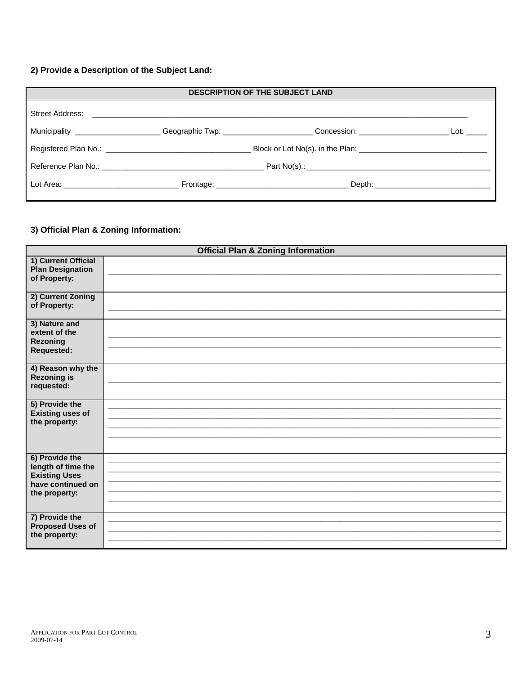## 2) Provide a Description of the Subject Land:

| <b>DESCRIPTION OF THE SUBJECT LAND</b>                                           |  |                                                                                                                                                                                                                                |              |
|----------------------------------------------------------------------------------|--|--------------------------------------------------------------------------------------------------------------------------------------------------------------------------------------------------------------------------------|--------------|
|                                                                                  |  |                                                                                                                                                                                                                                |              |
| Municipality _____________________Geographic Twp: ______________________________ |  |                                                                                                                                                                                                                                | Lot: _______ |
|                                                                                  |  |                                                                                                                                                                                                                                |              |
|                                                                                  |  |                                                                                                                                                                                                                                |              |
|                                                                                  |  | Depth: the contract of the contract of the contract of the contract of the contract of the contract of the contract of the contract of the contract of the contract of the contract of the contract of the contract of the con |              |

## 3) Official Plan & Zoning Information:

|                                                                                                    | <b>Official Plan &amp; Zoning Information</b> |
|----------------------------------------------------------------------------------------------------|-----------------------------------------------|
| 1) Current Official<br><b>Plan Designation</b><br>of Property:                                     |                                               |
| 2) Current Zoning<br>of Property:                                                                  |                                               |
| 3) Nature and<br>extent of the<br><b>Rezoning</b><br><b>Requested:</b>                             |                                               |
| 4) Reason why the<br><b>Rezoning is</b><br>requested:                                              |                                               |
| 5) Provide the<br><b>Existing uses of</b><br>the property:                                         |                                               |
| 6) Provide the<br>length of time the<br><b>Existing Uses</b><br>have continued on<br>the property: |                                               |
| 7) Provide the<br><b>Proposed Uses of</b><br>the property:                                         |                                               |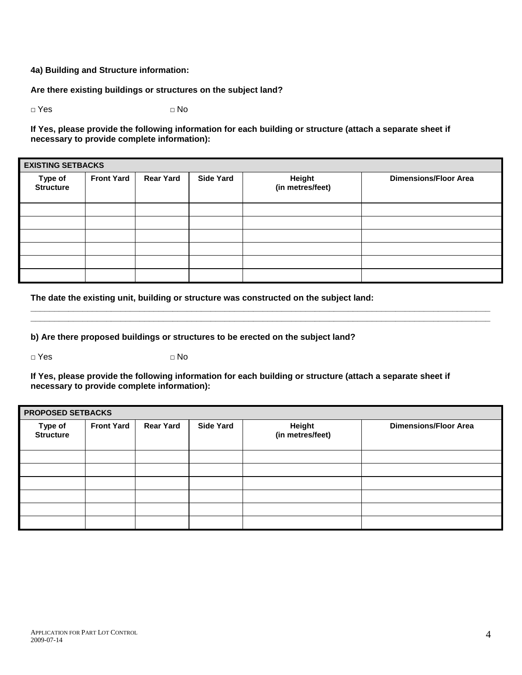#### **4a) Building and Structure information:**

#### **Are there existing buildings or structures on the subject land?**

**□** Yes **□** No

**If Yes, please provide the following information for each building or structure (attach a separate sheet if necessary to provide complete information):**

| <b>EXISTING SETBACKS</b>    |                   |                  |                  |                            |                              |
|-----------------------------|-------------------|------------------|------------------|----------------------------|------------------------------|
| Type of<br><b>Structure</b> | <b>Front Yard</b> | <b>Rear Yard</b> | <b>Side Yard</b> | Height<br>(in metres/feet) | <b>Dimensions/Floor Area</b> |
|                             |                   |                  |                  |                            |                              |
|                             |                   |                  |                  |                            |                              |
|                             |                   |                  |                  |                            |                              |
|                             |                   |                  |                  |                            |                              |
|                             |                   |                  |                  |                            |                              |
|                             |                   |                  |                  |                            |                              |

**\_\_\_\_\_\_\_\_\_\_\_\_\_\_\_\_\_\_\_\_\_\_\_\_\_\_\_\_\_\_\_\_\_\_\_\_\_\_\_\_\_\_\_\_\_\_\_\_\_\_\_\_\_\_\_\_\_\_\_\_\_\_\_\_\_\_\_\_\_\_\_\_\_\_\_\_\_\_\_\_\_\_\_\_\_\_\_\_\_\_\_\_\_\_\_\_\_ \_\_\_\_\_\_\_\_\_\_\_\_\_\_\_\_\_\_\_\_\_\_\_\_\_\_\_\_\_\_\_\_\_\_\_\_\_\_\_\_\_\_\_\_\_\_\_\_\_\_\_\_\_\_\_\_\_\_\_\_\_\_\_\_\_\_\_\_\_\_\_\_\_\_\_\_\_\_\_\_\_\_\_\_\_\_\_\_\_\_\_\_\_\_\_\_\_**

**The date the existing unit, building or structure was constructed on the subject land:**

**b) Are there proposed buildings or structures to be erected on the subject land?**

**□** Yes **□** No

**If Yes, please provide the following information for each building or structure (attach a separate sheet if necessary to provide complete information):**

| <b>PROPOSED SETBACKS</b>    |                   |                  |                  |                            |                              |
|-----------------------------|-------------------|------------------|------------------|----------------------------|------------------------------|
| Type of<br><b>Structure</b> | <b>Front Yard</b> | <b>Rear Yard</b> | <b>Side Yard</b> | Height<br>(in metres/feet) | <b>Dimensions/Floor Area</b> |
|                             |                   |                  |                  |                            |                              |
|                             |                   |                  |                  |                            |                              |
|                             |                   |                  |                  |                            |                              |
|                             |                   |                  |                  |                            |                              |
|                             |                   |                  |                  |                            |                              |
|                             |                   |                  |                  |                            |                              |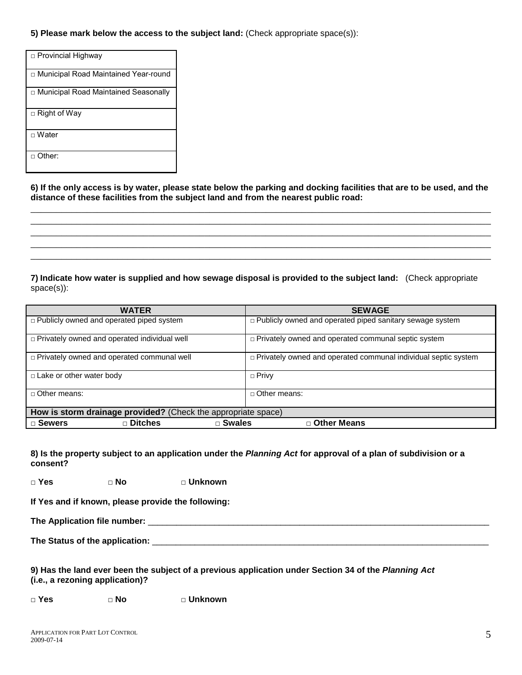**5) Please mark below the access to the subject land:** (Check appropriate space(s)):

| □ Provincial Highway                   |
|----------------------------------------|
| □ Municipal Road Maintained Year-round |
| □ Municipal Road Maintained Seasonally |
| □ Right of Way                         |
| $\sqcap$ Water                         |
| $\sqcap$ Other:                        |

**6) If the only access is by water, please state below the parking and docking facilities that are to be used, and the distance of these facilities from the subject land and from the nearest public road:** \_\_\_\_\_\_\_\_\_\_\_\_\_\_\_\_\_\_\_\_\_\_\_\_\_\_\_\_\_\_\_\_\_\_\_\_\_\_\_\_\_\_\_\_\_\_\_\_\_\_\_\_\_\_\_\_\_\_\_\_\_\_\_\_\_\_\_\_\_\_\_\_\_\_\_\_\_\_\_\_\_\_\_\_\_\_\_\_\_\_

\_\_\_\_\_\_\_\_\_\_\_\_\_\_\_\_\_\_\_\_\_\_\_\_\_\_\_\_\_\_\_\_\_\_\_\_\_\_\_\_\_\_\_\_\_\_\_\_\_\_\_\_\_\_\_\_\_\_\_\_\_\_\_\_\_\_\_\_\_\_\_\_\_\_\_\_\_\_\_\_\_\_\_\_\_\_\_\_\_\_ \_\_\_\_\_\_\_\_\_\_\_\_\_\_\_\_\_\_\_\_\_\_\_\_\_\_\_\_\_\_\_\_\_\_\_\_\_\_\_\_\_\_\_\_\_\_\_\_\_\_\_\_\_\_\_\_\_\_\_\_\_\_\_\_\_\_\_\_\_\_\_\_\_\_\_\_\_\_\_\_\_\_\_\_\_\_\_\_\_\_ \_\_\_\_\_\_\_\_\_\_\_\_\_\_\_\_\_\_\_\_\_\_\_\_\_\_\_\_\_\_\_\_\_\_\_\_\_\_\_\_\_\_\_\_\_\_\_\_\_\_\_\_\_\_\_\_\_\_\_\_\_\_\_\_\_\_\_\_\_\_\_\_\_\_\_\_\_\_\_\_\_\_\_\_\_\_\_\_\_\_ \_\_\_\_\_\_\_\_\_\_\_\_\_\_\_\_\_\_\_\_\_\_\_\_\_\_\_\_\_\_\_\_\_\_\_\_\_\_\_\_\_\_\_\_\_\_\_\_\_\_\_\_\_\_\_\_\_\_\_\_\_\_\_\_\_\_\_\_\_\_\_\_\_\_\_\_\_\_\_\_\_\_\_\_\_\_\_\_\_\_

**7) Indicate how water is supplied and how sewage disposal is provided to the subject land:** (Check appropriate space(s)):

| <b>WATER</b>                                                  | <b>SEWAGE</b>                                                    |  |  |
|---------------------------------------------------------------|------------------------------------------------------------------|--|--|
| $\Box$ Publicly owned and operated piped system               | $\Box$ Publicly owned and operated piped sanitary sewage system  |  |  |
|                                                               |                                                                  |  |  |
| $\Box$ Privately owned and operated individual well           | $\Box$ Privately owned and operated communal septic system       |  |  |
| $\Box$ Privately owned and operated communal well             | p Privately owned and operated communal individual septic system |  |  |
| □ Lake or other water body                                    | $\Box$ Privy                                                     |  |  |
| $\Box$ Other means:                                           | $\Box$ Other means:                                              |  |  |
| How is storm drainage provided? (Check the appropriate space) |                                                                  |  |  |
| $\Box$ Ditches<br>□ Sewers<br>□ Swales                        | □ Other Means                                                    |  |  |

**8) Is the property subject to an application under the** *Planning Act* **for approval of a plan of subdivision or a consent?**

**□ Yes □ No □ Unknown** 

**If Yes and if known, please provide the following:**

**The Application file number:** \_\_\_\_\_\_\_\_\_\_\_\_\_\_\_\_\_\_\_\_\_\_\_\_\_\_\_\_\_\_\_\_\_\_\_\_\_\_\_\_\_\_\_\_\_\_\_\_\_\_\_\_\_\_\_\_\_\_\_\_\_\_\_\_\_\_\_\_\_\_\_\_

**The Status of the application:** \_\_\_\_\_\_\_\_\_\_\_\_\_\_\_\_\_\_\_\_\_\_\_\_\_\_\_\_\_\_\_\_\_\_\_\_\_\_\_\_\_\_\_\_\_\_\_\_\_\_\_\_\_\_\_\_\_\_\_\_\_\_\_\_\_\_\_\_\_\_\_

**9) Has the land ever been the subject of a previous application under Section 34 of the** *Planning Act* **(i.e., a rezoning application)?**

**□ Yes □ No □ Unknown**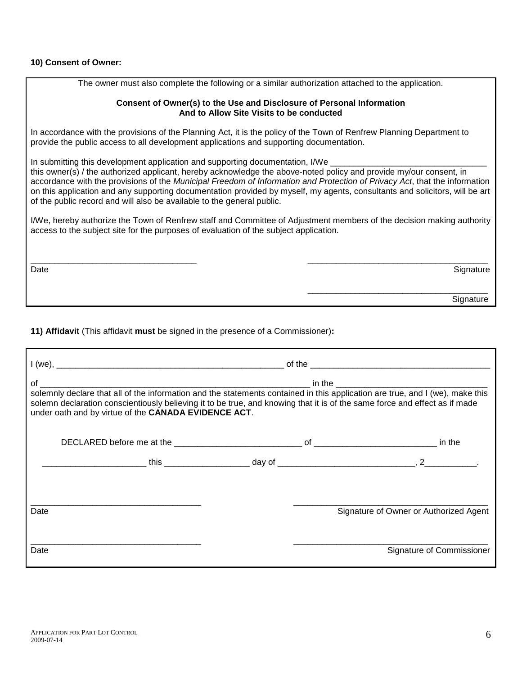## **10) Consent of Owner:**

| Consent of Owner(s) to the Use and Disclosure of Personal Information<br>And to Allow Site Visits to be conducted                                                                                                                                                                                                                                                                                                                                                                                                                          |
|--------------------------------------------------------------------------------------------------------------------------------------------------------------------------------------------------------------------------------------------------------------------------------------------------------------------------------------------------------------------------------------------------------------------------------------------------------------------------------------------------------------------------------------------|
| In accordance with the provisions of the Planning Act, it is the policy of the Town of Renfrew Planning Department to<br>provide the public access to all development applications and supporting documentation.                                                                                                                                                                                                                                                                                                                           |
| In submitting this development application and supporting documentation, I/We<br>this owner(s) / the authorized applicant, hereby acknowledge the above-noted policy and provide my/our consent, in<br>accordance with the provisions of the Municipal Freedom of Information and Protection of Privacy Act, that the information<br>on this application and any supporting documentation provided by myself, my agents, consultants and solicitors, will be art<br>of the public record and will also be available to the general public. |
| I/We, hereby authorize the Town of Renfrew staff and Committee of Adjustment members of the decision making authority<br>access to the subject site for the purposes of evaluation of the subject application.                                                                                                                                                                                                                                                                                                                             |
| Signature<br>Date                                                                                                                                                                                                                                                                                                                                                                                                                                                                                                                          |
| Signature                                                                                                                                                                                                                                                                                                                                                                                                                                                                                                                                  |

The owner must also complete the following or a similar authorization attached to the application.

**11) Affidavit** (This affidavit **must** be signed in the presence of a Commissioner)**:** 

| under oath and by virtue of the CANADA EVIDENCE ACT. | solemn declaration conscientiously believing it to be true, and knowing that it is of the same force and effect as if made |                                        |  |
|------------------------------------------------------|----------------------------------------------------------------------------------------------------------------------------|----------------------------------------|--|
|                                                      |                                                                                                                            |                                        |  |
| Date                                                 |                                                                                                                            | Signature of Owner or Authorized Agent |  |
| Date                                                 |                                                                                                                            | Signature of Commissioner              |  |